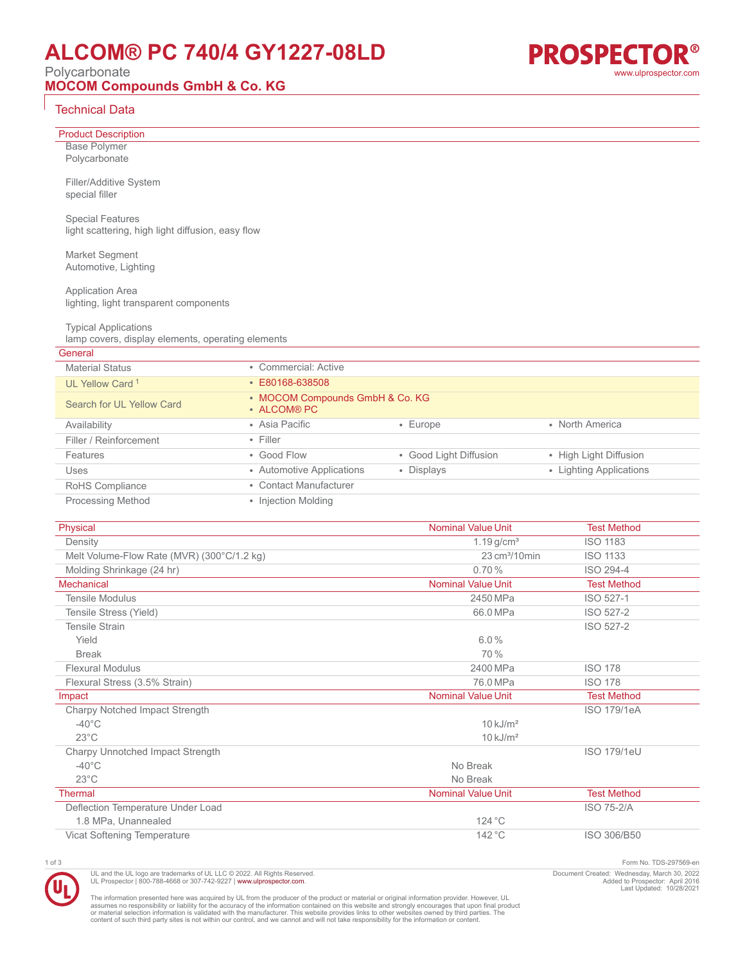# **ALCOM® PC 740/4 GY1227-08LD**

Polycarbonate

**MOCOM Compounds GmbH & Co. KG**



# Technical Data

| <b>Product Description</b>                        |                                                |                           |                         |
|---------------------------------------------------|------------------------------------------------|---------------------------|-------------------------|
| <b>Base Polymer</b><br>Polycarbonate              |                                                |                           |                         |
|                                                   |                                                |                           |                         |
| Filler/Additive System                            |                                                |                           |                         |
| special filler                                    |                                                |                           |                         |
|                                                   |                                                |                           |                         |
| <b>Special Features</b>                           |                                                |                           |                         |
| light scattering, high light diffusion, easy flow |                                                |                           |                         |
| Market Segment                                    |                                                |                           |                         |
| Automotive, Lighting                              |                                                |                           |                         |
|                                                   |                                                |                           |                         |
| <b>Application Area</b>                           |                                                |                           |                         |
| lighting, light transparent components            |                                                |                           |                         |
| <b>Typical Applications</b>                       |                                                |                           |                         |
| lamp covers, display elements, operating elements |                                                |                           |                         |
| General                                           |                                                |                           |                         |
| <b>Material Status</b>                            | • Commercial: Active                           |                           |                         |
| UL Yellow Card <sup>1</sup>                       | · E80168-638508                                |                           |                         |
| Search for UL Yellow Card                         | • MOCOM Compounds GmbH & Co. KG<br>• ALCOM® PC |                           |                         |
| Availability                                      | • Asia Pacific                                 | • Europe                  | • North America         |
| Filler / Reinforcement                            | • Filler                                       |                           |                         |
| <b>Features</b>                                   | • Good Flow                                    | • Good Light Diffusion    | • High Light Diffusion  |
| Uses                                              | • Automotive Applications                      | • Displays                | • Lighting Applications |
| RoHS Compliance                                   | • Contact Manufacturer                         |                           |                         |
| <b>Processing Method</b>                          | • Injection Molding                            |                           |                         |
|                                                   |                                                |                           |                         |
| Physical                                          |                                                | <b>Nominal Value Unit</b> | <b>Test Method</b>      |
| Density                                           |                                                | $1.19$ g/cm <sup>3</sup>  | <b>ISO 1183</b>         |
| Melt Volume-Flow Rate (MVR) (300°C/1.2 kg)        |                                                | 23 cm <sup>3</sup> /10min | <b>ISO 1133</b>         |
| Molding Shrinkage (24 hr)                         |                                                | 0.70%                     | ISO 294-4               |
| <b>Mechanical</b>                                 |                                                | <b>Nominal Value Unit</b> | <b>Test Method</b>      |
| <b>Tensile Modulus</b>                            |                                                | 2450 MPa                  | ISO 527-1               |
| Tensile Stress (Yield)                            |                                                | 66.0 MPa                  | ISO 527-2               |
| <b>Tensile Strain</b>                             |                                                |                           | ISO 527-2               |
| Yield                                             |                                                | 6.0%                      |                         |
| <b>Break</b>                                      |                                                | 70%                       |                         |
| <b>Flexural Modulus</b>                           |                                                | 2400 MPa                  | <b>ISO 178</b>          |
| Flexural Stress (3.5% Strain)                     |                                                | 76.0 MPa                  | <b>ISO 178</b>          |
| Impact                                            |                                                | <b>Nominal Value Unit</b> | <b>Test Method</b>      |
| Charpy Notched Impact Strength                    |                                                |                           | <b>ISO 179/1eA</b>      |

| $-40^{\circ}$ C                   | $10 \text{ kJ/m}^2$       |                    |  |
|-----------------------------------|---------------------------|--------------------|--|
| $23^{\circ}$ C                    | $10 \mathrm{kJ/m^2}$      |                    |  |
| Charpy Unnotched Impact Strength  |                           | <b>ISO 179/1eU</b> |  |
| $-40^{\circ}$ C                   | No Break                  |                    |  |
| $23^{\circ}$ C                    | No Break                  |                    |  |
| <b>Thermal</b>                    | <b>Nominal Value Unit</b> | <b>Test Method</b> |  |
| Deflection Temperature Under Load |                           | <b>ISO 75-2/A</b>  |  |
| 1.8 MPa. Unannealed               | 124 °C                    |                    |  |
| Vicat Softening Temperature       | $142^{\circ}$ C           | ISO 306/B50        |  |

UL and the UL logo are trademarks of UL LLC © 2022. All Rights Reserved.<br>UL Prospector | 800-788-4668 or 307-742-9227 | [www.ulprospector.com](http://www.ulprospector.com).

1 of 3 Form No. TDS-297569-en Document Created: Wednesday, March 30, 2022 Added to Prospector: April 2016 Last Updated: 10/28/2021

The information presented here was acquired by UL from the producer of the product or material or original information provider. However, UL<br>assumes no responsibility or liability for the accuracy of the information contai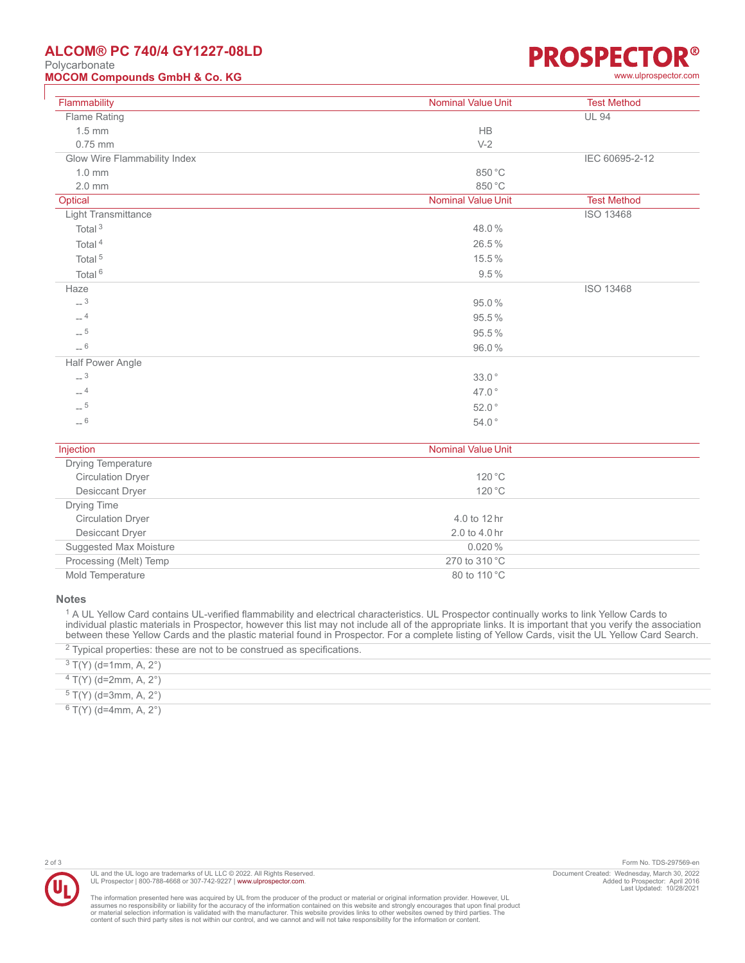## **ALCOM® PC 740/4 GY1227-08LD**

Polycarbonate

**MOCOM Compounds GmbH & Co. KG** [www.ulprospector.com](http://www.ulprospector.com)



| Flammability                 | <b>Nominal Value Unit</b> | <b>Test Method</b> |
|------------------------------|---------------------------|--------------------|
| Flame Rating                 |                           | <b>UL 94</b>       |
| $1.5 \text{ mm}$             | <b>HB</b>                 |                    |
| 0.75 mm                      | $V-2$                     |                    |
| Glow Wire Flammability Index |                           | IEC 60695-2-12     |
| $1.0$ mm                     | 850 °C                    |                    |
| $2.0$ mm                     | 850 °C                    |                    |
| Optical                      | <b>Nominal Value Unit</b> | <b>Test Method</b> |
| Light Transmittance          |                           | ISO 13468          |
| Total <sup>3</sup>           | 48.0%                     |                    |
| Total <sup>4</sup>           | 26.5%                     |                    |
| Total <sup>5</sup>           | 15.5%                     |                    |
| Total <sup>6</sup>           | $9.5\%$                   |                    |
| Haze                         |                           | ISO 13468          |
| $-3$                         | 95.0%                     |                    |
| $-4$                         | 95.5%                     |                    |
| $-5$                         | 95.5%                     |                    |
| $_{--}$ 6 $\,$               | 96.0%                     |                    |
| Half Power Angle             |                           |                    |
| $-3$                         | 33.0°                     |                    |
| $-4$                         | 47.0°                     |                    |
| $-5$                         | $52.0\,^{\circ}$          |                    |
| $-6$                         | $54.0\degree$             |                    |

| Injection                     | <b>Nominal Value Unit</b> |  |
|-------------------------------|---------------------------|--|
| <b>Drying Temperature</b>     |                           |  |
| <b>Circulation Dryer</b>      | 120 °C                    |  |
| <b>Desiccant Dryer</b>        | 120 °C                    |  |
| Drying Time                   |                           |  |
| <b>Circulation Dryer</b>      | 4.0 to 12 hr              |  |
| <b>Desiccant Dryer</b>        | 2.0 to 4.0 hr             |  |
| <b>Suggested Max Moisture</b> | 0.020%                    |  |
| Processing (Melt) Temp        | 270 to 310 °C             |  |
| Mold Temperature              | 80 to 110 °C              |  |

**Notes**

<sup>1</sup> A UL Yellow Card contains UL-verified flammability and electrical characteristics. UL Prospector continually works to link Yellow Cards to individual plastic materials in Prospector, however this list may not include all of the appropriate links. It is important that you verify the association between these Yellow Cards and the plastic material found in Prospector. For a complete listing of Yellow Cards, visit the UL Yellow Card Search.

| <sup>2</sup> Typical properties: these are not to be construed as specifications. |
|-----------------------------------------------------------------------------------|
| $3 T(Y)$ (d=1mm, A, 2°)                                                           |
| $4 T(Y)$ (d=2mm, A, 2°)                                                           |
| $5$ T(Y) (d=3mm, A, 2°)                                                           |
| $6$ T(Y) (d=4mm, A, 2°)                                                           |



UL and the UL logo are trademarks of UL LLC © 2022. All Rights Reserved. UL Prospector | 800-788-4668 or 307-742-9227 | [www.ulprospector.com](http://www.ulprospector.com).

2 of 3 Form No. TDS-297569-en Document Created: Wednesday, March 30, 2022 Added to Prospector: April 2016 Last Updated: 10/28/2021

The information presented here was acquired by UL from the producer of the product or material or original information provider. However, UL<br>assumes no responsibility or liability for the accuracy of the information contai